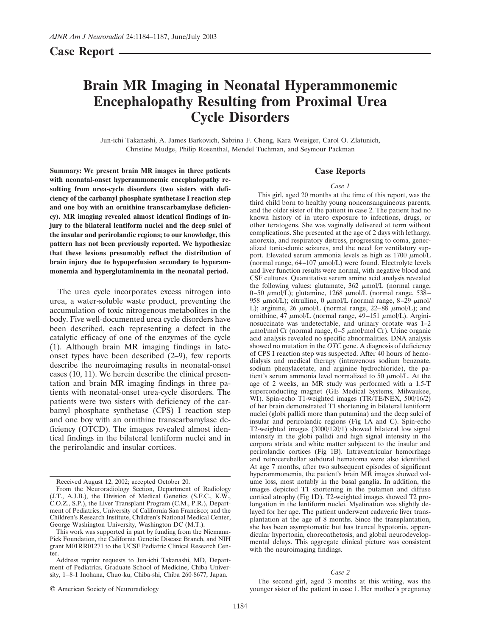# **Case Report**

# **Brain MR Imaging in Neonatal Hyperammonemic Encephalopathy Resulting from Proximal Urea Cycle Disorders**

Jun-ichi Takanashi, A. James Barkovich, Sabrina F. Cheng, Kara Weisiger, Carol O. Zlatunich, Christine Mudge, Philip Rosenthal, Mendel Tuchman, and Seymour Packman

**Case Reports**

### *Case 1*

**Summary: We present brain MR images in three patients with neonatal-onset hyperammonemic encephalopathy resulting from urea-cycle disorders (two sisters with deficiency of the carbamyl phosphate synthetase I reaction step and one boy with an ornithine transcarbamylase deficiency). MR imaging revealed almost identical findings of injury to the bilateral lentiform nuclei and the deep sulci of the insular and perirolandic regions; to our knowledge, this pattern has not been previously reported. We hypothesize that these lesions presumably reflect the distribution of brain injury due to hypoperfusion secondary to hyperammonemia and hyperglutaminemia in the neonatal period.**

The urea cycle incorporates excess nitrogen into urea, a water-soluble waste product, preventing the accumulation of toxic nitrogenous metabolites in the body. Five well-documented urea cycle disorders have been described, each representing a defect in the catalytic efficacy of one of the enzymes of the cycle (1). Although brain MR imaging findings in lateonset types have been described (2–9), few reports describe the neuroimaging results in neonatal-onset cases (10, 11). We herein describe the clinical presentation and brain MR imaging findings in three patients with neonatal-onset urea-cycle disorders. The patients were two sisters with deficiency of the carbamyl phosphate synthetase (CPS) I reaction step and one boy with an ornithine transcarbamylase deficiency (OTCD). The images revealed almost identical findings in the bilateral lentiform nuclei and in the perirolandic and insular cortices.

© American Society of Neuroradiology

This girl, aged 20 months at the time of this report, was the third child born to healthy young nonconsanguineous parents, and the older sister of the patient in case 2. The patient had no known history of in utero exposure to infections, drugs, or other teratogens. She was vaginally delivered at term without complications. She presented at the age of 2 days with lethargy, anorexia, and respiratory distress, progressing to coma, generalized tonic-clonic seizures, and the need for ventilatory support. Elevated serum ammonia levels as high as  $1700 \mu \text{mol/L}$ (normal range,  $64-107 \mu$ mol/L) were found. Electrolyte levels and liver function results were normal, with negative blood and CSF cultures. Quantitative serum amino acid analysis revealed the following values: glutamate,  $362 \mu$ mol/L (normal range, 0–50  $\mu$ mol/L); glutamine, 1268  $\mu$ mol/L (normal range, 538– 958  $\mu$ mol/L); citrulline, 0  $\mu$ mol/L (normal range, 8–29  $\mu$ mol/ L); arginine, 26  $\mu$ mol/L (normal range, 22–88  $\mu$ mol/L); and ornithine, 47  $\mu$ mol/L (normal range, 49–151  $\mu$ mol/L). Argininosuccinate was undetectable, and urinary orotate was 1–2  $\mu$ mol/mol Cr (normal range, 0–5  $\mu$ mol/mol Cr). Urine organic acid analysis revealed no specific abnormalities. DNA analysis showed no mutation in the *OTC* gene. A diagnosis of deficiency of CPS I reaction step was suspected. After 40 hours of hemodialysis and medical therapy (intravenous sodium benzoate, sodium phenylacetate, and arginine hydrochloride), the patient's serum ammonia level normalized to 50  $\mu$ mol/L. At the age of 2 weeks, an MR study was performed with a 1.5-T superconducting magnet (GE Medical Systems, Milwaukee, WI). Spin-echo T1-weighted images (TR/TE/NEX, 500/16/2) of her brain demonstrated T1 shortening in bilateral lentiform nuclei (globi pallidi more than putamina) and the deep sulci of insular and perirolandic regions (Fig 1A and C). Spin-echo T2-weighted images (3000/120/1) showed bilateral low signal intensity in the globi pallidi and high signal intensity in the corpora striata and white matter subjacent to the insular and perirolandic cortices (Fig 1B). Intraventricular hemorrhage and retrocerebellar subdural hematoma were also identified. At age 7 months, after two subsequent episodes of significant hyperammonemia, the patient's brain MR images showed volume loss, most notably in the basal ganglia. In addition, the images depicted T1 shortening in the putamen and diffuse cortical atrophy (Fig 1D). T2-weighted images showed T2 prolongation in the lentiform nuclei. Myelination was slightly delayed for her age. The patient underwent cadaveric liver transplantation at the age of 8 months. Since the transplantation, she has been asymptomatic but has truncal hypotonia, appendicular hypertonia, choreoathetosis, and global neurodevelopmental delays. This aggregate clinical picture was consistent with the neuroimaging findings.

#### *Case 2*

The second girl, aged 3 months at this writing, was the younger sister of the patient in case 1. Her mother's pregnancy

Received August 12, 2002; accepted October 20.

From the Neuroradiology Section, Department of Radiology (J.T., A.J.B.), the Division of Medical Genetics (S.F.C., K.W., C.O.Z., S.P.), the Liver Transplant Program (C.M., P.R.), Department of Pediatrics, University of California San Francisco; and the Children's Research Institute, Children's National Medical Center, George Washington University, Washington DC (M.T.).

This work was supported in part by funding from the Niemann-Pick Foundation, the California Genetic Disease Branch, and NIH grant M01RR01271 to the UCSF Pediatric Clinical Research Center.

Address reprint requests to Jun-ichi Takanashi, MD, Department of Pediatrics, Graduate School of Medicine, Chiba University, 1–8-1 Inohana, Chuo-ku, Chiba-shi, Chiba 260-8677, Japan.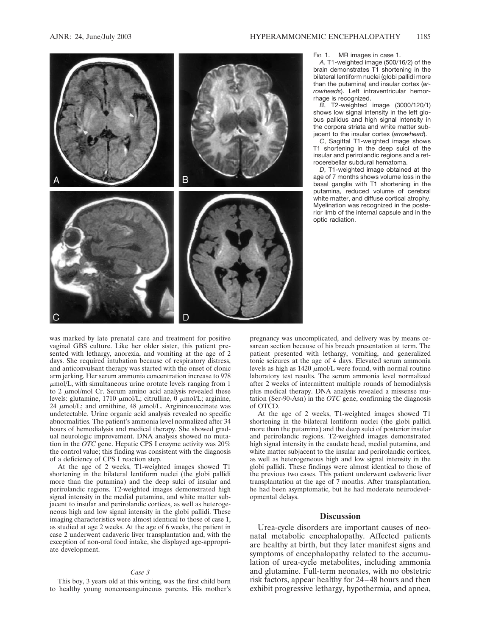

was marked by late prenatal care and treatment for positive vaginal GBS culture. Like her older sister, this patient presented with lethargy, anorexia, and vomiting at the age of 2 days. She required intubation because of respiratory distress, and anticonvulsant therapy was started with the onset of clonic arm jerking. Her serum ammonia concentration increase to 978  $\mu$ mol/L, with simultaneous urine orotate levels ranging from 1 to 2  $\mu$ mol/mol Cr. Serum amino acid analysis revealed these levels: glutamine,  $1710 \mu \text{mol/L}$ ; citrulline,  $0 \mu \text{mol/L}$ ; arginine, 24  $\mu$ mol/L; and ornithine, 48  $\mu$ mol/L. Argininosuccinate was undetectable. Urine organic acid analysis revealed no specific abnormalities. The patient's ammonia level normalized after 34 hours of hemodialysis and medical therapy. She showed gradual neurologic improvement. DNA analysis showed no mutation in the *OTC* gene. Hepatic CPS I enzyme activity was 20% the control value; this finding was consistent with the diagnosis of a deficiency of CPS I reaction step.

At the age of 2 weeks, T1-weighted images showed T1 shortening in the bilateral lentiform nuclei (the globi pallidi more than the putamina) and the deep sulci of insular and perirolandic regions. T2-weighted images demonstrated high signal intensity in the medial putamina, and white matter subjacent to insular and perirolandic cortices, as well as heterogeneous high and low signal intensity in the globi pallidi. These imaging characteristics were almost identical to those of case 1, as studied at age 2 weeks. At the age of 6 weeks, the patient in case 2 underwent cadaveric liver transplantation and, with the exception of non-oral food intake, she displayed age-appropriate development.

#### *Case 3*

This boy, 3 years old at this writing, was the first child born to healthy young nonconsanguineous parents. His mother's Fig. 1. MR images in case 1.

*A*, T1-weighted image (500/16/2) of the brain demonstrates T1 shortening in the bilateral lentiform nuclei (globi pallidi more than the putamina) and insular cortex (*arrowheads*). Left intraventricular hemorrhage is recognized.

*B*, T2-weighted image (3000/120/1) shows low signal intensity in the left globus pallidus and high signal intensity in the corpora striata and white matter subjacent to the insular cortex (*arrowhead*).

*C*, Sagittal T1-weighted image shows T1 shortening in the deep sulci of the insular and perirolandic regions and a retrocerebellar subdural hematoma.

*D*, T1-weighted image obtained at the age of 7 months shows volume loss in the basal ganglia with T1 shortening in the putamina, reduced volume of cerebral white matter, and diffuse cortical atrophy. Myelination was recognized in the posterior limb of the internal capsule and in the optic radiation.

pregnancy was uncomplicated, and delivery was by means cesarean section because of his breech presentation at term. The patient presented with lethargy, vomiting, and generalized tonic seizures at the age of 4 days. Elevated serum ammonia levels as high as  $1420 \mu$ mol/L were found, with normal routine laboratory test results. The serum ammonia level normalized after 2 weeks of intermittent multiple rounds of hemodialysis plus medical therapy. DNA analysis revealed a missense mutation (Ser-90-Asn) in the *OTC* gene, confirming the diagnosis of OTCD.

At the age of 2 weeks, T1-weighted images showed T1 shortening in the bilateral lentiform nuclei (the globi pallidi more than the putamina) and the deep sulci of posterior insular and perirolandic regions. T2-weighted images demonstrated high signal intensity in the caudate head, medial putamina, and white matter subjacent to the insular and perirolandic cortices, as well as heterogeneous high and low signal intensity in the globi pallidi. These findings were almost identical to those of the previous two cases. This patient underwent cadaveric liver transplantation at the age of 7 months. After transplantation, he had been asymptomatic, but he had moderate neurodevelopmental delays.

#### **Discussion**

Urea-cycle disorders are important causes of neonatal metabolic encephalopathy. Affected patients are healthy at birth, but they later manifest signs and symptoms of encephalopathy related to the accumulation of urea-cycle metabolites, including ammonia and glutamine. Full-term neonates, with no obstetric risk factors, appear healthy for 24–48 hours and then exhibit progressive lethargy, hypothermia, and apnea,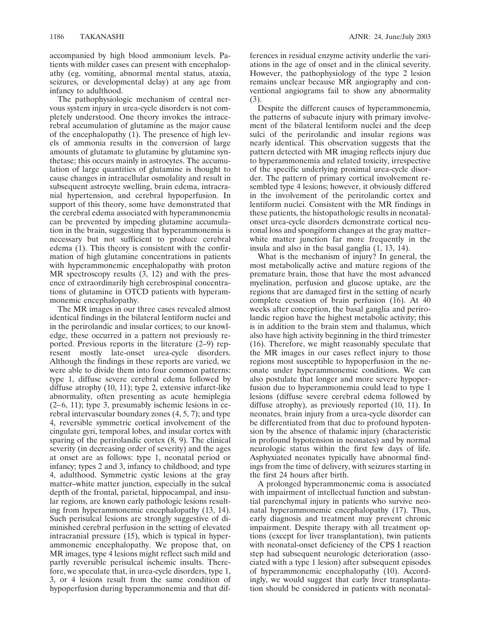accompanied by high blood ammonium levels. Patients with milder cases can present with encephalopathy (eg, vomiting, abnormal mental status, ataxia, seizures, or developmental delay) at any age from infancy to adulthood.

The pathophysiologic mechanism of central nervous system injury in urea-cycle disorders is not completely understood. One theory invokes the intracerebral accumulation of glutamine as the major cause of the encephalopathy (1). The presence of high levels of ammonia results in the conversion of large amounts of glutamate to glutamine by glutamine synthetase; this occurs mainly in astrocytes. The accumulation of large quantities of glutamine is thought to cause changes in intracellular osmolality and result in subsequent astrocyte swelling, brain edema, intracranial hypertension, and cerebral hypoperfusion. In support of this theory, some have demonstrated that the cerebral edema associated with hyperammonemia can be prevented by impeding glutamine accumulation in the brain, suggesting that hyperammonemia is necessary but not sufficient to produce cerebral edema (1). This theory is consistent with the confirmation of high glutamine concentrations in patients with hyperammonemic encephalopathy with proton MR spectroscopy results  $(3, 12)$  and with the presence of extraordinarily high cerebrospinal concentrations of glutamine in OTCD patients with hyperammonemic encephalopathy.

The MR images in our three cases revealed almost identical findings in the bilateral lentiform nuclei and in the perirolandic and insular cortices; to our knowledge, these occurred in a pattern not previously reported. Previous reports in the literature (2–9) represent mostly late-onset urea-cycle disorders. Although the findings in these reports are varied, we were able to divide them into four common patterns: type 1, diffuse severe cerebral edema followed by diffuse atrophy (10, 11); type 2, extensive infarct-like abnormality, often presenting as acute hemiplegia (2–6, 11); type 3, presumably ischemic lesions in cerebral intervascular boundary zones (4, 5, 7); and type 4, reversible symmetric cortical involvement of the cingulate gyri, temporal lobes, and insular cortex with sparing of the perirolandic cortex (8, 9). The clinical severity (in decreasing order of severity) and the ages at onset are as follows: type 1, neonatal period or infancy; types 2 and 3, infancy to childhood; and type 4, adulthood. Symmetric cystic lesions at the gray matter–white matter junction, especially in the sulcal depth of the frontal, parietal, hippocampal, and insular regions, are known early pathologic lesions resulting from hyperammonemic encephalopathy (13, 14). Such perisulcal lesions are strongly suggestive of diminished cerebral perfusion in the setting of elevated intracranial pressure (15), which is typical in hyperammonemic encephalopathy. We propose that, on MR images, type 4 lesions might reflect such mild and partly reversible perisulcal ischemic insults. Therefore, we speculate that, in urea-cycle disorders, type 1, 3, or 4 lesions result from the same condition of hypoperfusion during hyperammonemia and that dif-

ferences in residual enzyme activity underlie the variations in the age of onset and in the clinical severity. However, the pathophysiology of the type 2 lesion remains unclear because MR angiography and conventional angiograms fail to show any abnormality (3).

Despite the different causes of hyperammonemia, the patterns of subacute injury with primary involvement of the bilateral lentiform nuclei and the deep sulci of the perirolandic and insular regions was nearly identical. This observation suggests that the pattern detected with MR imaging reflects injury due to hyperammonemia and related toxicity, irrespective of the specific underlying proximal urea-cycle disorder. The pattern of primary cortical involvement resembled type 4 lesions; however, it obviously differed in the involvement of the perirolandic cortex and lentiform nuclei. Consistent with the MR findings in these patients, the histopathologic results in neonatalonset urea-cycle disorders demonstrate cortical neuronal loss and spongiform changes at the gray matter– white matter junction far more frequently in the insula and also in the basal ganglia (1, 13, 14).

What is the mechanism of injury? In general, the most metabolically active and mature regions of the premature brain, those that have the most advanced myelination, perfusion and glucose uptake, are the regions that are damaged first in the setting of nearly complete cessation of brain perfusion (16). At 40 weeks after conception, the basal ganglia and perirolandic region have the highest metabolic activity; this is in addition to the brain stem and thalamus, which also have high activity beginning in the third trimester (16). Therefore, we might reasonably speculate that the MR images in our cases reflect injury to those regions most susceptible to hypoperfusion in the neonate under hyperammonemic conditions. We can also postulate that longer and more severe hypoperfusion due to hyperammonemia could lead to type 1 lesions (diffuse severe cerebral edema followed by diffuse atrophy), as previously reported (10, 11). In neonates, brain injury from a urea-cycle disorder can be differentiated from that due to profound hypotension by the absence of thalamic injury (characteristic in profound hypotension in neonates) and by normal neurologic status within the first few days of life. Asphyxiated neonates typically have abnormal findings from the time of delivery, with seizures starting in the first 24 hours after birth.

A prolonged hyperammonemic coma is associated with impairment of intellectual function and substantial parenchymal injury in patients who survive neonatal hyperammonemic encephalopathy (17). Thus, early diagnosis and treatment may prevent chronic impairment. Despite therapy with all treatment options (except for liver transplantation), twin patients with neonatal-onset deficiency of the CPS I reaction step had subsequent neurologic deterioration (associated with a type 1 lesion) after subsequent episodes of hyperammonemic encephalopathy (10). Accordingly, we would suggest that early liver transplantation should be considered in patients with neonatal